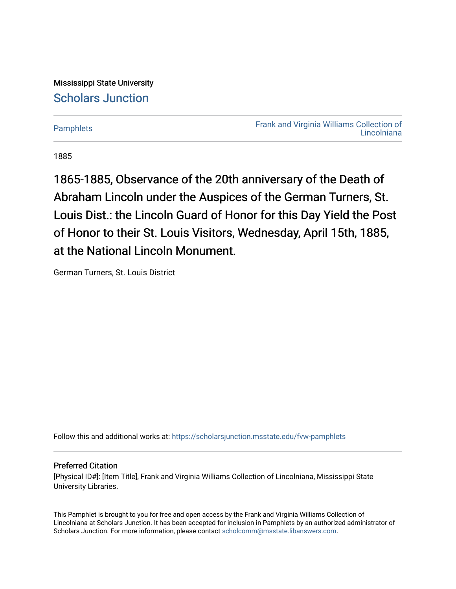Mississippi State University [Scholars Junction](https://scholarsjunction.msstate.edu/) 

[Pamphlets](https://scholarsjunction.msstate.edu/fvw-pamphlets) [Frank and Virginia Williams Collection of](https://scholarsjunction.msstate.edu/fvw)  [Lincolniana](https://scholarsjunction.msstate.edu/fvw) 

1885

1865-1885, Observance of the 20th anniversary of the Death of Abraham Lincoln under the Auspices of the German Turners, St. Louis Dist.: the Lincoln Guard of Honor for this Day Yield the Post of Honor to their St. Louis Visitors, Wednesday, April 15th, 1885, at the National Lincoln Monument.

German Turners, St. Louis District

Follow this and additional works at: [https://scholarsjunction.msstate.edu/fvw-pamphlets](https://scholarsjunction.msstate.edu/fvw-pamphlets?utm_source=scholarsjunction.msstate.edu%2Ffvw-pamphlets%2F349&utm_medium=PDF&utm_campaign=PDFCoverPages) 

### Preferred Citation

[Physical ID#]: [Item Title], Frank and Virginia Williams Collection of Lincolniana, Mississippi State University Libraries.

This Pamphlet is brought to you for free and open access by the Frank and Virginia Williams Collection of Lincolniana at Scholars Junction. It has been accepted for inclusion in Pamphlets by an authorized administrator of Scholars Junction. For more information, please contact [scholcomm@msstate.libanswers.com.](mailto:scholcomm@msstate.libanswers.com)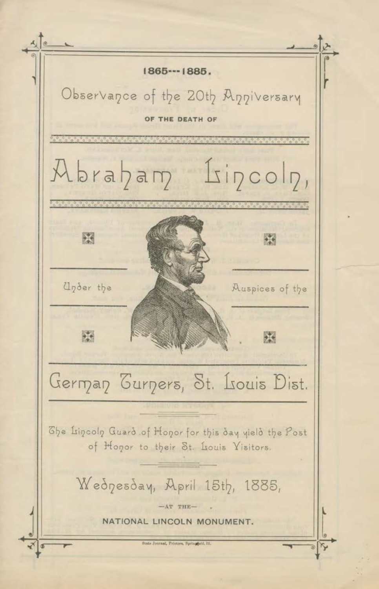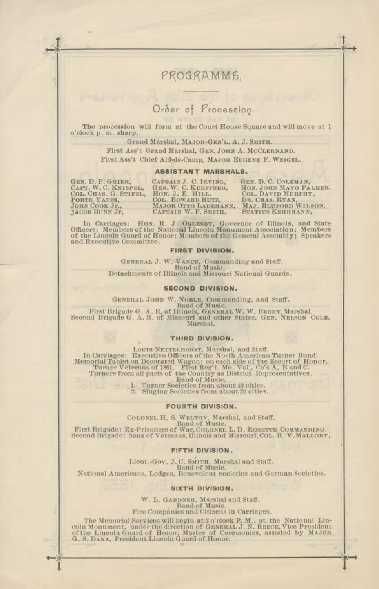## PROGRAMME.

# Order of Procession.

The procession will form at the Court House Square and will move at 1 o'clock p. m. sharp.

Grand Marshal, MAJOR-GEN'L, A. J. SMITH.

First Ass't Grand Marshal, GEN. JOHN A. MCCLERNAND. First Ass't Chief Aid-de-Camp, MAJOR EUGENE F. WEIGEL.

#### **ASSISTANT MARSHALS.**

GEN. D. P. GRIER,<br>CAPT. W. C. KNISPEL,<br>COL. CHAS. G. STIFEL, PORTE YATES,<br>JOHN COOK Jr., **LACOB BUNN Jr.** 

CAPTAIN J. C. IRVING,<br>GEN. W. C. KUEFFNER,<br>HON. J. E. HILL,<br>COL. EDWARD RUTZ, MAJOR OTTO LADEMANN, CAPTAIN W. F. SMITH,

GEN, D. C. COLEMAN,<br>HON. JOHN MAYO PALMER.<br>COL. DAVID MURPHY, DR. CHAS. RYAN. WILSON, STATIUS KEHRMANN,

In Carriages: Hon. R. J. OGLESBY, Governor of Illinois, and State Officers; Members of the National Lincoln Monument Association; Members of the Lincoln Guard of Honor; Members of the General Assembly; Speakers and Executive Committee.

### FIRST DIVISION.

GENERAL J. W. VANCE, Commanding and Staff.<br>Band of Music.<br>Detachments of Illinois and Missouri National Guards.

#### **SECOND DIVISION.**

GENERAL JOHN W. NOBLE, Commanding, and Staff.<br>Band of Music.

First Brigade G. A. R. of Illinois, GENERAL W. W. BERRY, Marshal. Second Brigade G. A. R. of Missouri and other States, GEN. NELSON COLE. Marshal.

#### THIRD DIVISION.

LOUIS NETTELHORST, Marshal, and Staff.<br>In Carriages: Executive Officers of the North American Turner Bund.<br>Memorial Tablet on Decorated Wagon : on each side of the Escort of Honor.<br>Turner Veterans of 1861. First Reg t. Mo. **Band of Music.** 

Turner Societies from about 40 cities.<br>Singing Societies from about 20 cities.

#### **FOURTH DIVISION.**

COLONEL H. S. WELTON, Marshal, and Staff.<br>Hand of Music. D. D. ROSETTE COMMANDING.<br>First Brigade: Ex-Prisoners of War, COLONEL L. D. ROSETTE COMMANDING.<br>Second Brigade: Sons of Veterans, Illinois and Missouri, Col. R. V. M

#### FIFTH DIVISION.

Lieut.-Gov. J. C. SMITH, Marshal and Staff. **Band of Music.** 

National Americans, Lodges, Benevolent Societies and German Societies.

#### SIXTH DIVISION.

W. L. GARDNER, Marshal and Staff.<br>Band of Music.<br>Fire Companies and Citizens in Carriages.

The Memorial Services will begin at 2 o'clock P. M., at the National Lincoln Monument, under the direction of General J. N. REECE, Vice President of the Lincoln Guard of Honor, Master of Ceremonies, assisted by MAJOB G. S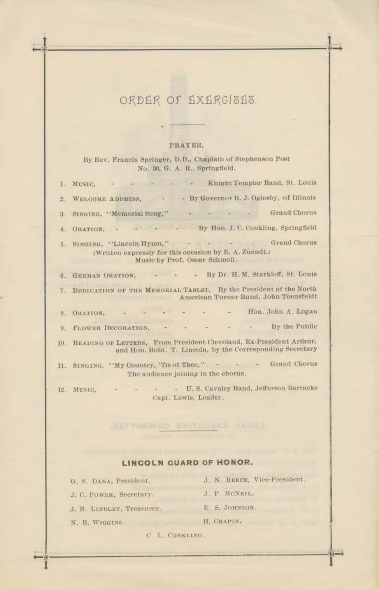# ORDER OF EXERGISES.

### PRAYER,

By Rev. Francis Springer, D.D., Chaplain of Stephenson Post No. 30, G. A. R., Springfield.

|    | 1. MUSIC, - - - - - - - Knight Templar Band, St. Louis                                                                              |
|----|-------------------------------------------------------------------------------------------------------------------------------------|
| 2. | WELCOME ADDRESS, - By Governor R. J. Oglesby, of Illinois                                                                           |
| 3. | - Grand Chorus<br>SINGING, "Memorial Song,"                                                                                         |
|    | 4. ORATION, - - - - By Hon. J. C. Conkling, Springfield                                                                             |
|    | 5. SINGING, "Lincoln Hymn," Grand Chorus<br>(Written expressly for this occasion by E. A. Zuendt.)<br>Music by Prof. Oscar Schmoll. |
|    | 6. GERMAN ORATION, - - - By Dr. H. M. Starkloff, St. Louis                                                                          |
|    | 7. DEDICATION OF THE MEMORIAL TABLET, By the President of the North<br>American Turner Bund, John Toensfeldt                        |
|    | Hon, John A. Logan<br>8. ORATION.                                                                                                   |
|    | 9. FLOWER DECORATION, By the Public                                                                                                 |
|    | 10. READING OF LETTERS, From President Cleveland, Ex-President Arthur,<br>and Hon. Robt. T. Lincoln, by the Corresponding Secretary |
|    | 11. SINGING, "My Country, Tis of Thee," - - - - - Grand Chorus<br>The audience joining in the chorus.                               |
|    | IT S Camber Dand Lafforern Romanks<br>and the state of the con-                                                                     |

12. MUSIC. Capt. Lewis, Leader.

### LINCOLN GUARD OF HONOR.

G. S. DANA, President.

- J. C. POWER, Secretary.
- J. B. LINDLEY, Treasurer.
- N. B. WIGGINS.
- J. N. REECE, Vice-President. J. F. MCNEIL.
- E. S. JOHNSON.
- H. CHAPIN.
- C. L. CONKLING.